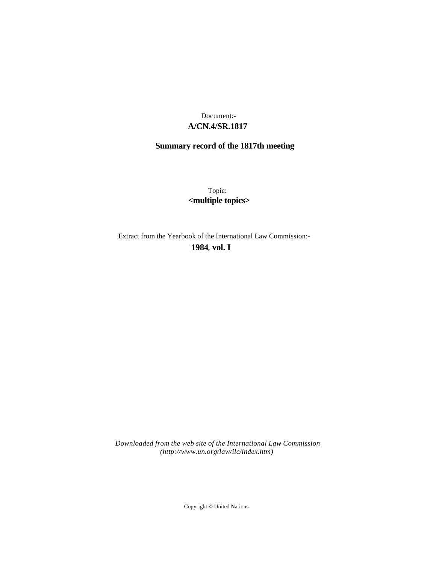# **A/CN.4/SR.1817** Document:-

# **Summary record of the 1817th meeting**

Topic: **<multiple topics>**

Extract from the Yearbook of the International Law Commission:-

**1984** , **vol. I**

*Downloaded from the web site of the International Law Commission (http://www.un.org/law/ilc/index.htm)*

Copyright © United Nations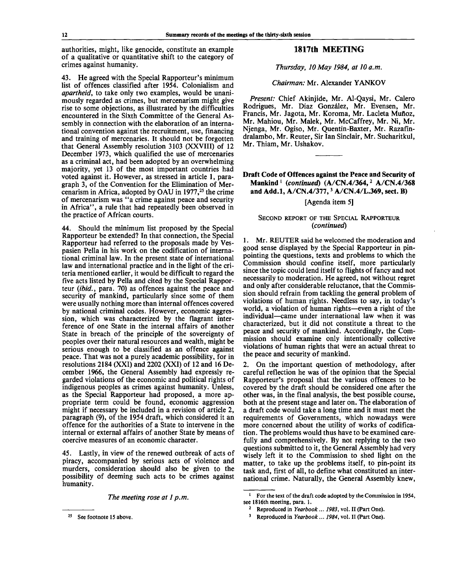authorities, might, like genocide, constitute an example of a qualitative or quantitative shift to the category of crimes against humanity.

43. He agreed with the Special Rapporteur's minimum list of offences classified after 1954. Colonialism and *apartheid,* to take only two examples, would be unanimously regarded as crimes, but mercenarism might give rise to some objections, as illustrated by the difficulties encountered in the Sixth Committee of the General Assembly in connection with the elaboration of an international convention against the recruitment, use, financing and training of mercenaries. It should not be forgotten that General Assembly resolution 3103 (XXVIII) of 12 December 1973, which qualified the use of mercenaries as a criminal act, had been adopted by an overwhelming majority, yet 13 of the most important countries had voted against it. However, as stressed in article 1, paragraph 3, of the Convention for the Elimination of Mercenarism in Africa, adopted by OAU in  $1977<sup>25</sup>$  the crime of mercenarism was "a crime against peace and security in Africa", a rule that had repeatedly been observed in the practice of African courts.

44. Should the minimum list proposed by the Special Rapporteur be extended? In that connection, the Special Rapporteur had referred to the proposals made by Vespasien Pella in his work on the codification of international criminal law. In the present state of international law and international practice and in the light of the criteria mentioned earlier, it would be difficult to regard the five acts listed by Pella and cited by the Special Rapporteur *(ibid.,* para. 70) as offences against the peace and security of mankind, particularly since some of them were usually nothing more than internal offences covered by national criminal codes. However, economic aggression, which was characterized by the flagrant interference of one State in the internal affairs of another State in breach of the principle of the sovereignty of peoples over their natural resources and wealth, might be serious enough to be classified as an offence against peace. That was not a purely academic possibility, for in resolutions 2184 (XXI) and 2202 (XXI) of 12 and 16 December 1966, the General Assembly had expressly regarded violations of the economic and political rights of indigenous peoples as crimes against humanity. Unless, as the Special Rapporteur had proposed, a more appropriate term could be found, economic aggression might if necessary be included in a revision of article 2, paragraph (9), of the 1954 draft, which considered it an offence for the authorities of a State to intervene in the internal or external affairs of another State by means of coercive measures of an economic character.

45. Lastly, in view of the renewed outbreak of acts of piracy, accompanied by serious acts of violence and murders, consideration should also be given to the possibility of deeming such acts to be crimes against humanity.

*The meeting rose at 1 p.m.*

# **1817th MEETING**

#### *Thursday, 10May 1984, at 10 a.m.*

#### *Chairman:* Mr. Alexander YANKOV

*Present:* Chief Akinjide, Mr. Al-Qaysi, Mr. Calero Rodrigues, Mr. Diaz Gonzalez, Mr. Evensen, Mr. Francis, Mr. Jagota, Mr. Koroma, Mr. Lacleta Mufloz, Mr. Mahiou, Mr. Malek, Mr. McCaffrey, Mr. Ni, Mr. Njenga, Mr. Ogiso, Mr. Quentin-Baxter, Mr. Razafindralambo, Mr. Reuter, Sir Ian Sinclair, Mr. Sucharitkul, Mr. Thiam, Mr. Ushakov.

# **Draft Code of Offences against the Peace and Security of Mankind** *<sup>l</sup> (continued)* **(A/CN.4/364,<sup>2</sup> A/CN.4/368 and Add.l, A/CN.4/377,<sup>3</sup> A/CN.4/L.369, sect. B)**

#### [Agenda item 5]

#### SECOND REPORT OF THE SPECIAL RAPPORTEUR *(continued)*

1. Mr. REUTER said he welcomed the moderation and good sense displayed by the Special Rapporteur in pinpointing the questions, texts and problems to which the Commission should confine itself, more particularly since the topic could lend itself to flights of fancy and not necessarily to moderation. He agreed, not without regret and only after considerable reluctance, that the Commission should refrain from tackling the general problem of violations of human rights. Needless to say, in today's world, a violation of human rights—even a right of the individual—came under international law when it was characterized, but it did not constitute a threat to the peace and security of mankind. Accordingly, the Commission should examine only intentionally collective violations of human rights that were an actual threat to the peace and security of mankind.

2. On the important question of methodology, after careful reflection he was of the opinion that the Special Rapporteur's proposal that the various offences to be covered by the draft should be considered one after the other was, in the final analysis, the best possible course, both at the present stage and later on. The elaboration of a draft code would take a long time and it must meet the requirements of Governments, which nowadays were more concerned about the utility of works of codification. The problems would thus have to be examined carefully and comprehensively. By not replying to the two questions submitted to it, the General Assembly had very wisely left it to the Commission to shed light on the matter, to take up the problems itself, to pin-point its task and, first of all, to define what constituted an international crime. Naturally, the General Assembly knew,

<sup>25</sup> See footnote 15 above.

<sup>1</sup> For the text of the draft code adopted by the Commission in 1954, see 1816th meeting, para. 1.

<sup>2</sup> Reproduced in *Yearbook.*.. *1983,* vol. II (Part One).

<sup>3</sup> Reproduced in *Yearbook... 1984,* vol. II (Part One).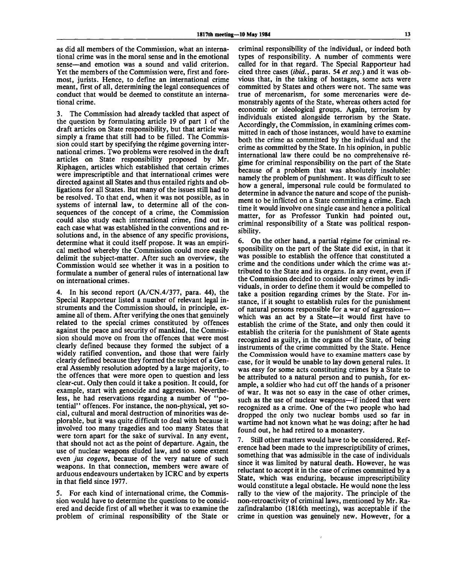as did all members of the Commission, what an international crime was in the moral sense and in the emotional sense—and emotion was a sound and valid criterion. Yet the members of the Commission were, first and foremost, jurists. Hence, to define an international crime meant, first of all, determining the legal consequences of conduct that would be deemed to constitute an international crime.

3. The Commission had already tackled that aspect of the question by formulating article 19 of part 1 of the draft articles on State responsibility, but that article was simply a frame that still had to be filled. The Commission could start by specifying the regime governing international crimes. Two problems were resolved in the draft articles on State responsibility proposed by Mr. Riphagen, articles which established that certain crimes were imprescriptible and that international crimes were directed against all States and thus entailed rights and obligations for all States. But many of the issues still had to be resolved. To that end, when it was not possible, as in systems of internal law, to determine all of the consequences of the concept of a crime, the Commission could also study each international crime, find out in each case what was established in the conventions and resolutions and, in the absence of any specific provisions, determine what it could itself propose. It was an empirical method whereby the Commission could more easily delimit the subject-matter. After such an overview, the Commission would see whether it was in a position to formulate a number of general rules of international law on international crimes.

4. In his second report (A/CN.4/377, para. 44), the Special Rapporteur listed a number of relevant legal instruments and the Commission should, in principle, examine all of them. After verifying the ones that genuinely related to the special crimes constituted by offences against the peace and security of mankind, the Commission should move on from the offences that were most clearly defined because they formed the subject of a widely ratified convention, and those that were fairly clearly defined because they formed the subject of a General Assembly resolution adopted by a large majority, to the offences that were more open to question and less clear-cut. Only then could it take a position. It could, for example, start with genocide and aggression. Nevertheless, he had reservations regarding a number of "potential" offences. For instance, the non-physical, yet social, cultural and moral destruction of minorities was deplorable, but it was quite difficult to deal with because it involved too many tragedies and too many States that were torn apart for the sake of survival. In any event, that should not act as the point of departure. Again, the use of nuclear weapons eluded law, and to some extent even *jus cogens,* because of the very nature of such weapons. In that connection, members were aware of arduous endeavours undertaken by ICRC and by experts in that field since 1977.

5. For each kind of international crime, the Commission would have to determine the questions to be considered and decide first of all whether it was to examine the problem of criminal responsibility of the State or criminal responsibility of the individual, or indeed both types of responsibility. A number of comments were called for in that regard. The Special Rapporteur had cited three cases *{ibid.,* paras. 54 *et seq.)* and it was obvious that, in the taking of hostages, some acts were committed by States and others were not. The same was true of mercenarism, for some mercenaries were demonstrably agents of the State, whereas others acted for economic or ideological groups. Again, terrorism by individuals existed alongside terrorism by the State. Accordingly, the Commission, in examining crimes committed in each of those instances, would have to examine both the crime as committed by the individual and the crime as committed by the State. In his opinion, in public international law there could be no comprehensive regime for criminal responsibility on the part of the State because of a problem that was absolutely insoluble: namely the problem of punishment. It was difficult to see how a general, impersonal rule could be formulated to determine in advance the nature and scope of the punishment to be inflicted on a State committing a crime. Each time it would involve one single case and hence a political matter, for as Professor Tunkin had pointed out, criminal responsibility of a State was political responsibility.

6. On the other hand, a partial régime for criminal responsibility on the part of the State did exist, in that it was possible to establish the offence that constituted a crime and the conditions under which the crime was attributed to the State and its organs. In any event, even if the Commission decided to consider only crimes by individuals, in order to define them it would be compelled to take a position regarding crimes by the State. For instance, if it sought to establish rules for the punishment of natural persons responsible for a war of aggression which was an act by a State—it would first have to establish the crime of the State, and only then could it establish the criteria for the punishment of State agents recognized as guilty, in the organs of the State, of being instruments of the crime committed by the State. Hence the Commission would have to examine matters case by case, for it would be unable to lay down general rules. It was easy for some acts constituting crimes by a State to be attributed to a natural person and to punish, for example, a soldier who had cut off the hands of a prisoner of war. It was not so easy in the case of other crimes, such as the use of nuclear weapons—if indeed that were recognized as a crime. One of the two people who had dropped the only two nuclear bombs used so far in wartime had not known what he was doing; after he had found out, he had retired to a monastery.

7. Still other matters would have to be considered. Reference had been made to the imprescriptibility of crimes, something that was admissible in the case of individuals since it was limited by natural death. However, he was reluctant to accept it in the case of crimes committed by a State, which was enduring, because imprescriptibility would constitute a legal obstacle. He would none the less rally to the view of the majority. The principle of the non-retroactivity of criminal laws, mentioned by Mr. Razafindralambo (1816th meeting), was acceptable if the crime in question was genuinely new. However, for a

 $\mathbf{r}$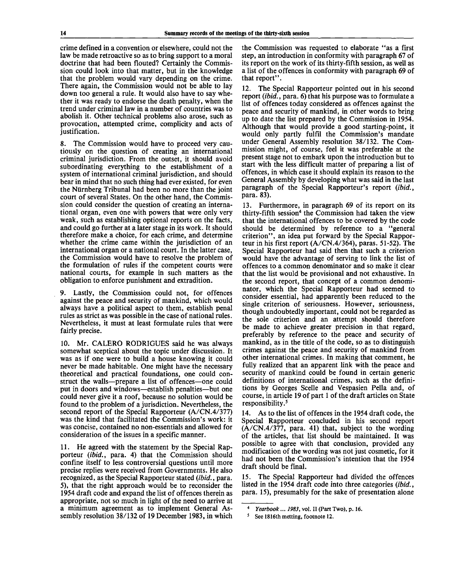crime defined in a convention or elsewhere, could not the law be made retroactive so as to bring support to a moral doctrine that had been flouted? Certainly the Commission could look into that matter, but in the knowledge that the problem would vary depending on the crime. There again, the Commission would not be able to lay down too general a rule. It would also have to say whether it was ready to endorse the death penalty, when the trend under criminal law in a number of countries was to abolish it. Other technical problems also arose, such as provocation, attempted crime, complicity and acts of justification.

8. The Commission would have to proceed very cautiously on the question of creating an international criminal jurisdiction. From the outset, it should avoid subordinating everything to the establishment of a system of international criminal jurisdiction, and should bear in mind that no such thing had ever existed, for even the Niirnberg Tribunal had been no more than the joint court of several States. On the other hand, the Commission could consider the question of creating an international organ, even one with powers that were only very weak, such as establishing optional reports on the facts, and could go further at a later stage in its work. It should therefore make a choice, for each crime, and determine whether the crime came within the jurisdiction of an international organ or a national court. In the latter case, the Commission would have to resolve the problem of the formulation of rules if the competent courts were national courts, for example in such matters as the obligation to enforce punishment and extradition.

9. Lastly, the Commission could not, for offences against the peace and security of mankind, which would always have a political aspect to them, establish penal rules as strict as was possible in the case of national rules. Nevertheless, it must at least formulate rules that were fairly precise.

10. Mr. CALERO RODRIGUES said he was always somewhat sceptical about the topic under discussion. It was as if one were to build a house knowing it could never be made habitable. One might have the necessary theoretical and practical foundations, one could construct the walls—prepare a list of offences—one could put in doors and windows—establish penalties—but one could never give it a roof, because no solution would be found to the problem of a jurisdiction. Nevertheless, the second report of the Special Rapporteur (A/CN.4/377) was the kind that facilitated the Commission's work: it was concise, contained no non-essentials and allowed for consideration of the issues in a specific manner.

11. He agreed with the statement by the Special Rapporteur *(ibid.,* para. 4) that the Commission should confine itself to less controversial questions until more precise replies were received from Governments. He also recognized, as the Special Rapporteur stated *(ibid.,* para. 5), that the right approach would be to reconsider the 1954 draft code and expand the list of offences therein as appropriate, not so much in light of the need to arrive at a minimum agreement as to implement General Assembly resolution 38/132 of 19 December 1983, in which the Commission was requested to elaborate "as a first step, an introduction in conformity with paragraph 67 of its report on the work of its thirty-fifth session, as well as a list of the offences in conformity with paragraph 69 of that report".

12. The Special Rapporteur pointed out in his second report *(ibid.,* para. 6) that his purpose was to formulate a list of offences today considered as offences against the peace and security of mankind, in other words to bring up to date the list prepared by the Commission in 1954. Although that would provide a good starting-point, it would only partly fulfil the Commission's mandate under General Assembly resolution 38/132. The Commission might, of course, feel it was preferable at the present stage not to embark upon the introduction but to start with the less difficult matter of preparing a list of offences, in which case it should explain its reason to the General Assembly by developing what was said in the last paragraph of the Special Rapporteur's report *(ibid.,* para. 83).

13. Furthermore, in paragraph 69 of its report on its thirty-fifth session<sup>4</sup> the Commission had taken the view that the international offences to be covered by the code should be determined by reference to a "general criterion", an idea put forward by the Special Rapporteur in his first report (A/CN.4/364), paras. 51-52). The Special Rapporteur had said then that such a criterion would have the advantage of serving to link the list of offences to a common denominator and so make it clear that the list would be provisional and not exhaustive. In the second report, that concept of a common denominator, which the Special Rapporteur had seemed to consider essential, had apparently been reduced to the single criterion of seriousness. However, seriousness, though undoubtedly important, could not be regarded as the sole criterion and an attempt should therefore be made to achieve greater precision in that regard, preferably by reference to the peace and security of mankind, as in the title of the code, so as to distinguish crimes against the peace and security of mankind from other international crimes. In making that comment, he fully realized that an apparent link with the peace and security of mankind could be found in certain generic definitions of international crimes, such as the definitions by Georges Scelle and Vespasien Pella and, of course, in article 19 of part 1 of the draft articles on State responsibility.<sup>5</sup>

14. As to the list of offences in the 1954 draft code, the Special Rapporteur concluded in his second report (A/CN.4/377, para. 41) that, subject to the wording of the articles, that list should be maintained. It was possible to agree with that conclusion, provided any modification of the wording was not just cosmetic, for it had not been the Commission's intention that the 1954 draft should be final.

15. The Special Rapporteur had divided the offences listed in the 1954 draft code into three categories *(ibid.,* para. 15), presumably for the sake of presentation alone

<sup>4</sup>  *Yearbook*... *1983,* vol. II (Part Two), p. 16.

<sup>5</sup> See 1816th metting, footnote 12.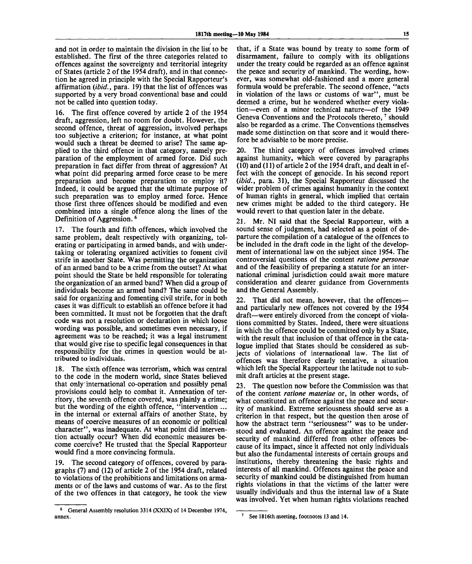and not in order to maintain the division in the list to be established. The first of the three categories related to offences against the sovereignty and territorial integrity of States (article 2 of the 1954 draft), and in that connection he agreed in principle with the Special Rapporteur's affirmation *(ibid.,* para. 19) that the list of offences was supported by a very broad conventional base and could not be called into question today.

The first offence covered by article 2 of the 1954 draft, aggression, left no room for doubt. However, the second offence, threat of aggression, involved perhaps too subjective a criterion; for instance, at what point would such a threat be deemed to arise? The same applied to the third offence in that category, namely preparation of the employment of armed force. Did such preparation in fact differ from threat of aggression? At what point did preparing armed force cease to be mere preparation and become preparation to employ it? Indeed, it could be argued that the ultimate purpose of such preparation was to employ armed force. Hence those first three offences should be modified and even combined into a single offence along the lines of the Definition of Aggression.<sup>6</sup>

17. The fourth and fifth offences, which involved the same problem, dealt respectively with organizing, tolerating or participating in armed bands, and with undertaking or tolerating organized activities to foment civil strife in another State. Was permitting the organization of an armed band to be a crime from the outset? At what point should the State be held responsible for tolerating the organization of an armed band? When did a group of individuals become an armed band? The same could be said for organizing and fomenting civil strife, for in both cases it was difficult to establish' an offence before it had been committed. It must not be forgotten that the draft code was not a resolution or declaration in which loose wording was possible, and sometimes even necessary, if agreement was to be reached; it was a legal instrument that would give rise to specific legal consequences in that responsibility for the crimes in question would be attributed to individuals.

18. The sixth offence was terrorism, which was central to the code in the modern world, since States believed that only international co-operation and possibly penal provisions could help to combat it. Annexation of territory, the seventh offence covered, was plainly a crime; but the wording of the eighth offence, "intervention ... in the internal or external affairs of another State, by means of coercive measures of an economic or political character", was inadequate. At what point did intervention actually occur? When did economic measures become coercive? He trusted that the Special Rapporteur would find a more convincing formula.

19. The second category of offences, covered by paragraphs (7) and (12) of article 2 of the 1954 draft, related to violations of the prohibitions and limitations on armaments or of the laws and customs of war. As to the first of the two offences in that category, he took the view

that, if a State was bound by treaty to some form of disarmament, failure to comply with its obligations under the treaty could be regarded as an offence against the peace and security of mankind. The wording, however, was somewhat old-fashioned and a more general formula would be preferable. The second offence, "acts in violation of the laws or customs of war", must be deemed a crime, but he wondered whether every violation—even of a minor technical nature—of the 1949 Geneva Conventions and the Protocols thereto,  $\frac{7}{3}$  should also be regarded as a crime. The Conventions themselves made some distinction on that score and it would therefore be advisable to be more precise.

20. The third category of offences involved crimes against humanity, which were covered by paragraphs (10) and (11) of article 2 of the 1954 draft, and dealt in effect with the concept of genocide. In his second report *(ibid.,* para. 31), the Special Rapporteur discussed the wider problem of crimes against humanity in the context of human rights in general, which implied that certain new crimes might be added to the third category. He would revert to that question later in the debate.

21. Mr. NI said that the Special Rapporteur, with a sound sense of judgment, had selected as a point of departure the compilation of a catalogue of the offences to be included in the draft code in the light of the development of international law on the subject since 1954. The controversial questions of the content *ratione personae* and of the feasibility of preparing a statute for an international criminal jurisdiction could await more mature consideration and clearer guidance from Governments and the General Assembly.

22. That did not mean, however, that the offences and particularly new offences not covered by the 1954 draft—were entirely divorced from the concept of violations committed by States. Indeed, there were situations in which the offence could be committed only by a State, with the result that inclusion of that offence in the catalogue implied that States should be considered as subjects of violations of international law. The list of offences was therefore clearly tentative, a situation which left the Special Rapporteur the latitude not to submit draft articles at the present stage.

23. The question now before the Commission was that of the content *ratione materiae* or, in other words, of what constituted an offence against the peace and security of mankind. Extreme seriousness should serve as a criterion in that respect, but the question then arose of how the abstract term "seriousness" was to be understood and evaluated. An offence against the peace and security of mankind differed from other offences because of its impact, since it affected not only individuals but also the fundamental interests of certain groups and institutions, thereby threatening the basic rights and interests of all mankind. Offences against the peace and security of mankind could be distinguished from human rights violations in that the victims of the latter were usually individuals and thus the internal law of a State was involved. Yet when human rights violations reached

<sup>6</sup> General Assembly resolution 3314 (XXIX) of 14 December 1974, annex. See 1816th meeting, footnotes 13 and 14.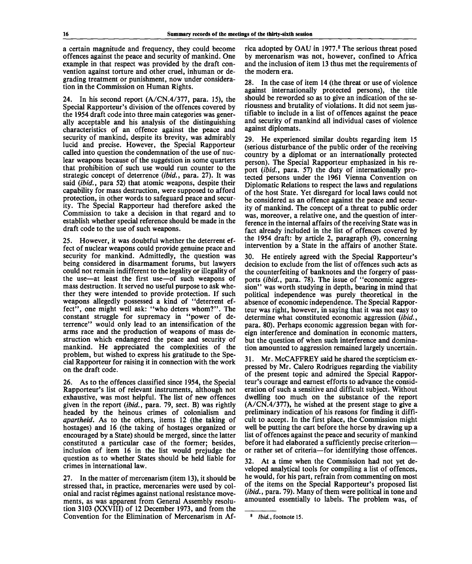a certain magnitude and frequency, they could become offences against the peace and security of mankind. One example in that respect was provided by the draft convention against torture and other cruel, inhuman or degrading treatment or punishment, now under consideration in the Commission on Human Rights.

24. In his second report  $(A/CN.4/377, \text{ para. } 15)$ , the Special Rapporteur's division of the offences covered by the 1954 draft code into three main categories was generally acceptable and his analysis of the distinguishing characteristics of an offence against the peace and security of mankind, despite its brevity, was admirably lucid and precise. However, the Special Rapporteur called into question the condemnation of the use of nuclear weapons because of the suggestion in some quarters that prohibition of such use would run counter to the strategic concept of deterrence *(ibid.,* para. 27). It was said *(ibid.,* para 52) that atomic weapons, despite their capability for mass destruction, were supposed to afford protection, in other words to safeguard peace and security. The Special Rapporteur had therefore asked the Commission to take a decision in that regard and to establish whether special reference should be made in the draft code to the use of such weapons.

25. However, it was doubtful whether the deterrent effect of nuclear weapons could provide genuine peace and security for mankind. Admittedly, the question was being considered in disarmament forums, but lawyers could not remain indifferent to the legality or illegality of the use—at least the first use—of such weapons of mass destruction. It served no useful purpose to ask whether they were intended to provide protection. If such weapons allegedly possessed a kind of "deterrent effect", one might well ask: "who deters whom?". The constant struggle for supremacy in "power of deterrence" would only lead to an intensification of the arms race and the production of weapons of mass destruction which endangered the peace and security of mankind. He appreciated the complexities of the problem, but wished to express his gratitude to the Special Rapporteur for raising it in connection with the work on the draft code.

26. As to the offences classified since 1954, the Special Rapporteur's list of relevant instruments, although not exhaustive, was most helpful. The list of new offences given in the report *(ibid.,* para. 79, sect. B) was rightly headed by the heinous crimes of colonialism and *apartheid.* As to the others, items 12 (the taking of hostages) and 16 (the taking of hostages organized or encouraged by a State) should be merged, since the latter constituted a particular case of the former; besides, inclusion of item 16 in the list would prejudge the question as to whether States should be held liable for crimes in international law.

27. In the matter of mercenarism (item 13), it should be stressed that, in practice, mercenaries were used by colonial and racist regimes against national resistance movements, as was apparent from General Assembly resolution 3103 (XXVIII) of 12 December 1973, and from the Convention for the Elimination of Mercenarism in Af-

rica adopted by OAU in 1977.<sup>8</sup> The serious threat posed by mercenarism was not, however, confined to Africa and the inclusion of item 13 thus met the requirements of the modern era.

28. In the case of item 14 (the threat or use of violence against internationally protected persons), the title should be reworded so as to give an indication of the seriousness and brutality of violations. It did not seem justifiable to include in a list of offences against the peace and security of mankind all individual cases of violence against diplomats.

29. He experienced similar doubts regarding item 15 (serious disturbance of the public order of the receiving country by a diplomat or an internationally protected person). The Special Rapporteur emphasized in his report *(ibid.,* para. 57) the duty of internationally protected persons under the 1961 Vienna Convention on Diplomatic Relations to respect the laws and regulations of the host State. Yet disregard for local laws could not be considered as an offence against the peace and security of mankind. The concept of a threat to public order was, moreover, a relative one, and the question of interference in the internal affairs of the receiving State was in fact already included in the list of offences covered by the 1954 draft: by article 2, paragraph (9), concerning intervention by a State in the affairs of another State.

30. He entirely agreed with the Special Rapporteur's decision to exclude from the list of offences such acts as the counterfeiting of banknotes and the forgery of passports *(ibid.,* para. 78). The issue of "economic aggression" was worth studying in depth, bearing in mind that political independence was purely theoretical in the absence of economic independence. The Special Rapporteur was right, however, in saying that it was not easy to determine what constituted economic aggression *(ibid.,* para. 80). Perhaps economic aggression began with foreign interference and domination in economic matters, but the question of when such interference and domination amounted to aggression remained largely uncertain.

31. Mr. McCAFFREY said he shared the scepticism expressed by Mr. Calero Rodrigues regarding the viability of the present topic and admired the Special Rapporteur's courage and earnest efforts to advance the consideration of such a sensitive and difficult subject. Without dwelling too much on the substance of the report (A/CN.4/377), he wished at the present stage to give a preliminary indication of his reasons for finding it difficult to accept. In the first place, the Commission might well be putting the cart before the horse by drawing up a list of offences against the peace and security of mankind before it had elaborated a sufficiently precise criterion or rather set of criteria—for identifying those offences.

32. At a time when the Commission had not yet developed analytical tools for compiling a list of offences, he would, for his part, refrain from commenting on most of the items on the Special Rapporteur's proposed list *(ibid.*, para. 79). Many of them were political in tone and amounted essentially to labels. The problem was, of

<sup>8</sup>  *Ibid.,* footnote 15.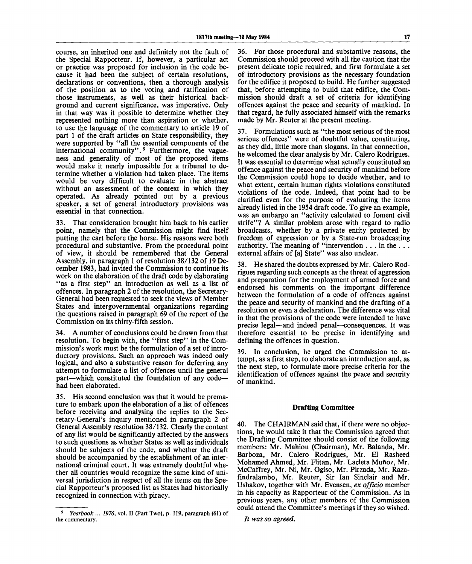course, an inherited one and definitely not the fault of the Special Rapporteur. If, however, a particular act or practice was proposed for inclusion in the code because it had been the subject of certain resolutions, declarations or conventions, then a thorough analysis of the position as to the voting and ratification of those instruments, as well as their historical background and current significance, was imperative. Only in that way was it possible to determine whether they represented nothing more than aspiration or whether, to use the language of the commentary to article 19 of part 1 of the draft articles on State responsibility, they were supported by "all the essential components of the international community".<sup>9</sup> Furthermore, the vagueness and generality of most of the proposed items would make it nearly impossible for a tribunal to determine whether a violation had taken place. The items would be very difficult to evaluate in the abstract without an assessment of the context in which they operated. As already pointed out by a previous speaker, a set of general introductory provisions was essential in that connection.

33. That consideration brought him back to his earlier point, namely that the Commission might find itself putting the cart before the horse. His reasons were both procedural and substantive. From the procedural point of view, it should be remembered that the General Assembly, in paragraph 1 of resolution 38/132 of 19 December 1983, had invited the Commission to continue its work on the elaboration of the draft code by elaborating "as a first step" an introduction as well as a list of offences. In paragraph 2 of the resolution, the Secretary-General had been requested to seek the views of Member States and intergovernmental organizations regarding the questions raised in paragraph 69 of the report of the Commission on its thirty-fifth session.

34. A number of conclusions could be drawn from that resolution. To begin with, the "first step" in the Commission's work must be the formulation of a set of introductory provisions. Such an approach was indeed only logical, and also a substantive reason for deferring any attempt to formulate a list of offences until the general part—which constituted the foundation of any code had been elaborated.

35. His second conclusion was that it would be premature to embark upon the elaboration of a list of offences before receiving and analysing the replies to the Secretary-General's inquiry mentioned in paragraph 2 of General Assembly resolution 38/132. Clearly the content of any list would be significantly affected by the answers to such questions as whether States as well as individuals should be subjects of the code, and whether the draft should be accompanied by the establishment of an international criminal court. It was extremely doubtful whether all countries would recognize the same kind of universal jurisdiction in respect of all the items on the Special Rapporteur's proposed list as States had historically recognized in connection with piracy.

36. For those procedural and substantive reasons, the Commission should proceed with all the caution that the present delicate topic required, and first formulate a set of introductory provisions as the necessary foundation for the edifice it proposed to build. He further suggested that, before attempting to build that edifice, the Commission should draft a set of criteria for identifying offences against the peace and security of mankind. In that regard, he fully associated himself with the remarks made by Mr. Reuter at the present meeting.

37. Formulations such as "the most serious of the most serious offences" were of doubtful value, constituting, as they did, little more than slogans. In that connection, he welcomed the clear analysis by Mr. Calero Rodrigues. It was essential to determine what actually constituted an offence against the peace and security of mankind before the Commission could hope to decide whether, and to what extent, certain human rights violations constituted violations of the code. Indeed, that point had to be clarified even for the purpose of evaluating the items already listed in the 1954 draft code. To give an example, was an embargo an "activity calculated to foment civil strife"? A similar problem arose with regard to radio broadcasts, whether by a private entity protected by freedom of expression or by a State-run broadcasting authority. The meaning of "intervention  $\dots$  in the  $\dots$ external affairs of [a] State" was also unclear.

38. He shared the doubts expressed by Mr. Calero Rodrigues regarding such concepts as the threat of aggression and preparation for the employment of armed force and endorsed his comments on the important difference between the formulation of a code of offences against the peace and security of mankind and the drafting of a resolution or even a declaration. The difference was vital in that the provisions of the code were intended to have precise legal—and indeed penal—consequences. It was therefore essential to be precise in identifying and defining the offences in question.

39. In conclusion, he urged the Commission to attempt, as a first step, to elaborate an introduction and, as the next step, to formulate more precise criteria for the identification of offences against the peace and security of mankind.

#### **Drafting Committee**

40. The CHAIRMAN said that, if there were no objections, he would take it that the Commission agreed that the Drafting Committee should consist of the following members: Mr. Mahiou (Chairman), Mr. Balanda, Mr. Barboza, Mr. Calero Rodrigues, Mr. El Rasheed Mohamed Ahmed, Mr. Flitan, Mr. Lacleta Mufioz, Mr. McCaffrey, Mr. Ni, Mr. Ogiso, Mr. Pirzada, Mr. Razafindralambo, Mr. Reuter, Sir Ian Sinclair and Mr. Ushakov, together with Mr. Evensen, *ex officio* member in his capacity as Rapporteur of the Commission. As in previous years, any other members of the Commission could attend the Committee's meetings if they so wished.

// *was so agreed.*

<sup>9</sup>  *Yearbook* ... *1976,* vol. II (Part Two), p. 119, paragraph (61) of the commentary.